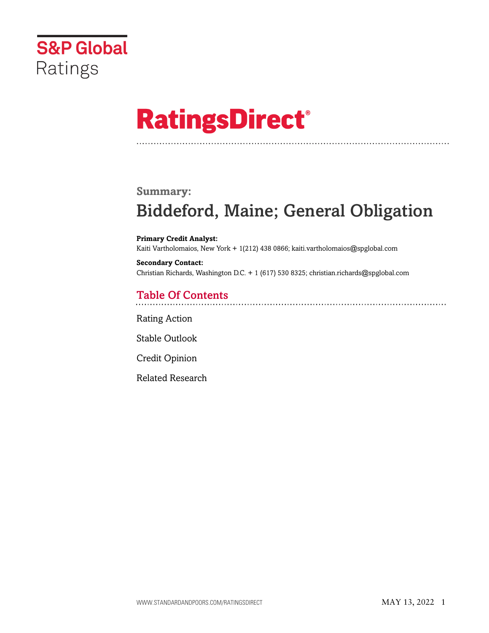

# **RatingsDirect®**

### **Summary:**

# Biddeford, Maine; General Obligation

**Primary Credit Analyst:** Kaiti Vartholomaios, New York + 1(212) 438 0866; kaiti.vartholomaios@spglobal.com

**Secondary Contact:** Christian Richards, Washington D.C. + 1 (617) 530 8325; christian.richards@spglobal.com

# Table Of Contents

[Rating Action](#page-1-0)

[Stable Outlook](#page-2-0)

[Credit Opinion](#page-2-1)

[Related Research](#page-5-0)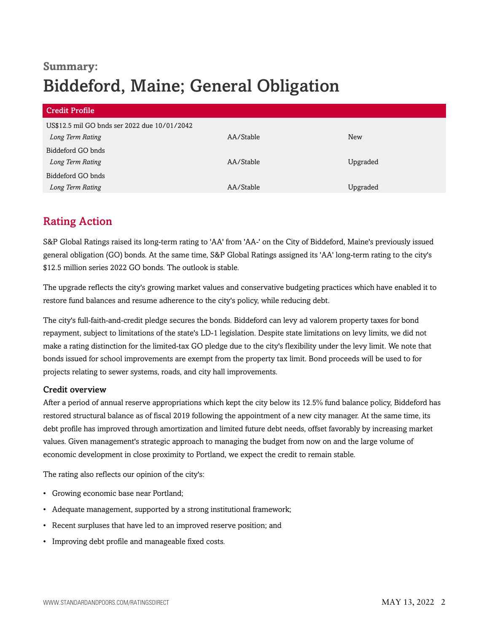# **Summary:** Biddeford, Maine; General Obligation

| <b>Credit Profile</b>                        |           |            |  |
|----------------------------------------------|-----------|------------|--|
| US\$12.5 mil GO bnds ser 2022 due 10/01/2042 |           |            |  |
| Long Term Rating                             | AA/Stable | <b>New</b> |  |
| Biddeford GO bnds                            |           |            |  |
| Long Term Rating                             | AA/Stable | Upgraded   |  |
| Biddeford GO bnds                            |           |            |  |
| Long Term Rating                             | AA/Stable | Upgraded   |  |

# <span id="page-1-0"></span>Rating Action

S&P Global Ratings raised its long-term rating to 'AA' from 'AA-' on the City of Biddeford, Maine's previously issued general obligation (GO) bonds. At the same time, S&P Global Ratings assigned its 'AA' long-term rating to the city's \$12.5 million series 2022 GO bonds. The outlook is stable.

The upgrade reflects the city's growing market values and conservative budgeting practices which have enabled it to restore fund balances and resume adherence to the city's policy, while reducing debt.

The city's full-faith-and-credit pledge secures the bonds. Biddeford can levy ad valorem property taxes for bond repayment, subject to limitations of the state's LD-1 legislation. Despite state limitations on levy limits, we did not make a rating distinction for the limited-tax GO pledge due to the city's flexibility under the levy limit. We note that bonds issued for school improvements are exempt from the property tax limit. Bond proceeds will be used to for projects relating to sewer systems, roads, and city hall improvements.

#### Credit overview

After a period of annual reserve appropriations which kept the city below its 12.5% fund balance policy, Biddeford has restored structural balance as of fiscal 2019 following the appointment of a new city manager. At the same time, its debt profile has improved through amortization and limited future debt needs, offset favorably by increasing market values. Given management's strategic approach to managing the budget from now on and the large volume of economic development in close proximity to Portland, we expect the credit to remain stable.

The rating also reflects our opinion of the city's:

- Growing economic base near Portland;
- Adequate management, supported by a strong institutional framework;
- Recent surpluses that have led to an improved reserve position; and
- Improving debt profile and manageable fixed costs.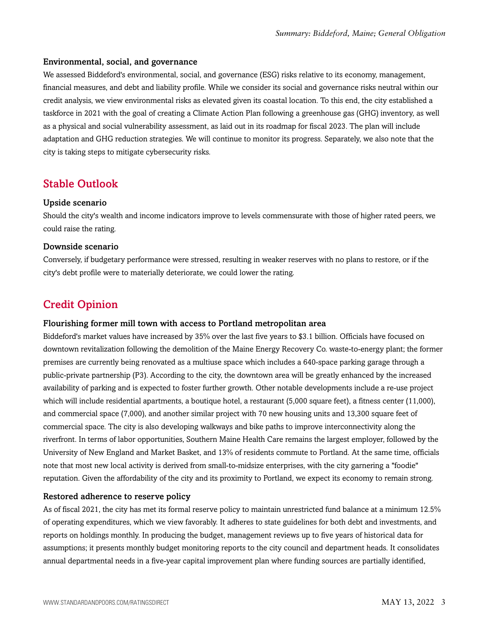#### Environmental, social, and governance

We assessed Biddeford's environmental, social, and governance (ESG) risks relative to its economy, management, financial measures, and debt and liability profile. While we consider its social and governance risks neutral within our credit analysis, we view environmental risks as elevated given its coastal location. To this end, the city established a taskforce in 2021 with the goal of creating a Climate Action Plan following a greenhouse gas (GHG) inventory, as well as a physical and social vulnerability assessment, as laid out in its roadmap for fiscal 2023. The plan will include adaptation and GHG reduction strategies. We will continue to monitor its progress. Separately, we also note that the city is taking steps to mitigate cybersecurity risks.

### <span id="page-2-0"></span>Stable Outlook

#### Upside scenario

Should the city's wealth and income indicators improve to levels commensurate with those of higher rated peers, we could raise the rating.

#### Downside scenario

Conversely, if budgetary performance were stressed, resulting in weaker reserves with no plans to restore, or if the city's debt profile were to materially deteriorate, we could lower the rating.

## <span id="page-2-1"></span>Credit Opinion

#### Flourishing former mill town with access to Portland metropolitan area

Biddeford's market values have increased by 35% over the last five years to \$3.1 billion. Officials have focused on downtown revitalization following the demolition of the Maine Energy Recovery Co. waste-to-energy plant; the former premises are currently being renovated as a multiuse space which includes a 640-space parking garage through a public-private partnership (P3). According to the city, the downtown area will be greatly enhanced by the increased availability of parking and is expected to foster further growth. Other notable developments include a re-use project which will include residential apartments, a boutique hotel, a restaurant (5,000 square feet), a fitness center (11,000), and commercial space (7,000), and another similar project with 70 new housing units and 13,300 square feet of commercial space. The city is also developing walkways and bike paths to improve interconnectivity along the riverfront. In terms of labor opportunities, Southern Maine Health Care remains the largest employer, followed by the University of New England and Market Basket, and 13% of residents commute to Portland. At the same time, officials note that most new local activity is derived from small-to-midsize enterprises, with the city garnering a "foodie" reputation. Given the affordability of the city and its proximity to Portland, we expect its economy to remain strong.

#### Restored adherence to reserve policy

As of fiscal 2021, the city has met its formal reserve policy to maintain unrestricted fund balance at a minimum 12.5% of operating expenditures, which we view favorably. It adheres to state guidelines for both debt and investments, and reports on holdings monthly. In producing the budget, management reviews up to five years of historical data for assumptions; it presents monthly budget monitoring reports to the city council and department heads. It consolidates annual departmental needs in a five-year capital improvement plan where funding sources are partially identified,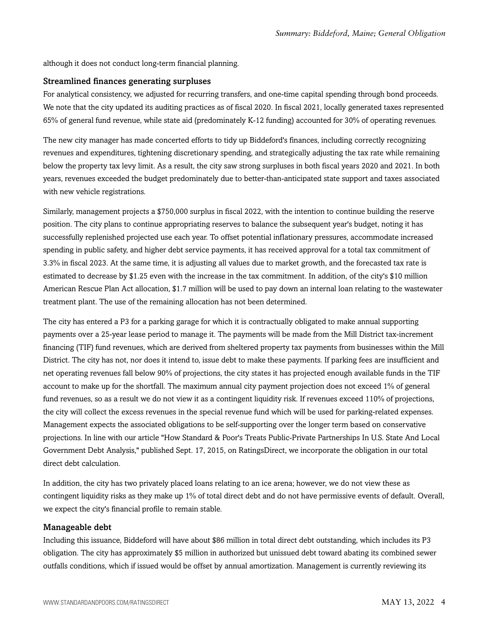although it does not conduct long-term financial planning.

#### Streamlined finances generating surpluses

For analytical consistency, we adjusted for recurring transfers, and one-time capital spending through bond proceeds. We note that the city updated its auditing practices as of fiscal 2020. In fiscal 2021, locally generated taxes represented 65% of general fund revenue, while state aid (predominately K-12 funding) accounted for 30% of operating revenues.

The new city manager has made concerted efforts to tidy up Biddeford's finances, including correctly recognizing revenues and expenditures, tightening discretionary spending, and strategically adjusting the tax rate while remaining below the property tax levy limit. As a result, the city saw strong surpluses in both fiscal years 2020 and 2021. In both years, revenues exceeded the budget predominately due to better-than-anticipated state support and taxes associated with new vehicle registrations.

Similarly, management projects a \$750,000 surplus in fiscal 2022, with the intention to continue building the reserve position. The city plans to continue appropriating reserves to balance the subsequent year's budget, noting it has successfully replenished projected use each year. To offset potential inflationary pressures, accommodate increased spending in public safety, and higher debt service payments, it has received approval for a total tax commitment of 3.3% in fiscal 2023. At the same time, it is adjusting all values due to market growth, and the forecasted tax rate is estimated to decrease by \$1.25 even with the increase in the tax commitment. In addition, of the city's \$10 million American Rescue Plan Act allocation, \$1.7 million will be used to pay down an internal loan relating to the wastewater treatment plant. The use of the remaining allocation has not been determined.

The city has entered a P3 for a parking garage for which it is contractually obligated to make annual supporting payments over a 25-year lease period to manage it. The payments will be made from the Mill District tax-increment financing (TIF) fund revenues, which are derived from sheltered property tax payments from businesses within the Mill District. The city has not, nor does it intend to, issue debt to make these payments. If parking fees are insufficient and net operating revenues fall below 90% of projections, the city states it has projected enough available funds in the TIF account to make up for the shortfall. The maximum annual city payment projection does not exceed 1% of general fund revenues, so as a result we do not view it as a contingent liquidity risk. If revenues exceed 110% of projections, the city will collect the excess revenues in the special revenue fund which will be used for parking-related expenses. Management expects the associated obligations to be self-supporting over the longer term based on conservative projections. In line with our article "How Standard & Poor's Treats Public-Private Partnerships In U.S. State And Local Government Debt Analysis," published Sept. 17, 2015, on RatingsDirect, we incorporate the obligation in our total direct debt calculation.

In addition, the city has two privately placed loans relating to an ice arena; however, we do not view these as contingent liquidity risks as they make up 1% of total direct debt and do not have permissive events of default. Overall, we expect the city's financial profile to remain stable.

#### Manageable debt

Including this issuance, Biddeford will have about \$86 million in total direct debt outstanding, which includes its P3 obligation. The city has approximately \$5 million in authorized but unissued debt toward abating its combined sewer outfalls conditions, which if issued would be offset by annual amortization. Management is currently reviewing its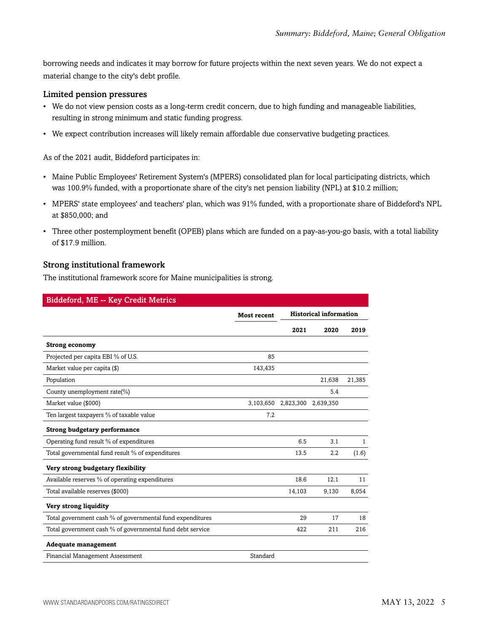borrowing needs and indicates it may borrow for future projects within the next seven years. We do not expect a material change to the city's debt profile.

#### Limited pension pressures

- We do not view pension costs as a long-term credit concern, due to high funding and manageable liabilities, resulting in strong minimum and static funding progress.
- We expect contribution increases will likely remain affordable due conservative budgeting practices.

As of the 2021 audit, Biddeford participates in:

- Maine Public Employees' Retirement System's (MPERS) consolidated plan for local participating districts, which was 100.9% funded, with a proportionate share of the city's net pension liability (NPL) at \$10.2 million;
- MPERS' state employees' and teachers' plan, which was 91% funded, with a proportionate share of Biddeford's NPL at \$850,000; and
- Three other postemployment benefit (OPEB) plans which are funded on a pay-as-you-go basis, with a total liability of \$17.9 million.

#### Strong institutional framework

The institutional framework score for Maine municipalities is strong.

| Biddeford, ME -- Key Credit Metrics                       |                    |           |                               |        |
|-----------------------------------------------------------|--------------------|-----------|-------------------------------|--------|
|                                                           | <b>Most recent</b> |           | <b>Historical information</b> |        |
|                                                           |                    | 2021      | 2020                          | 2019   |
| <b>Strong economy</b>                                     |                    |           |                               |        |
| Projected per capita EBI % of U.S.                        | 85                 |           |                               |        |
| Market value per capita (\$)                              | 143,435            |           |                               |        |
| Population                                                |                    |           | 21,638                        | 21,385 |
| County unemployment rate(%)                               |                    |           | 5.4                           |        |
| Market value (\$000)                                      | 3,103,650          | 2,823,300 | 2,639,350                     |        |
| Ten largest taxpayers % of taxable value                  | 7.2                |           |                               |        |
| <b>Strong budgetary performance</b>                       |                    |           |                               |        |
| Operating fund result % of expenditures                   |                    | 6.5       | 3.1                           | 1      |
| Total governmental fund result % of expenditures          |                    | 13.5      | 2.2                           | (1.6)  |
| Very strong budgetary flexibility                         |                    |           |                               |        |
| Available reserves % of operating expenditures            |                    | 18.6      | 12.1                          | 11     |
| Total available reserves (\$000)                          |                    | 14,103    | 9,130                         | 8,054  |
| Very strong liquidity                                     |                    |           |                               |        |
| Total government cash % of governmental fund expenditures |                    | 29        | 17                            | 18     |
| Total government cash % of governmental fund debt service |                    | 422       | 211                           | 216    |
| <b>Adequate management</b>                                |                    |           |                               |        |
| Financial Management Assessment                           | Standard           |           |                               |        |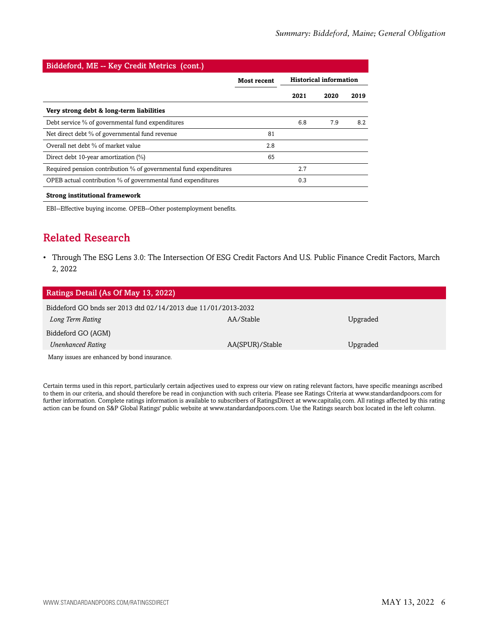| Biddeford, ME -- Key Credit Metrics (cont.)                       |                    |                               |      |      |
|-------------------------------------------------------------------|--------------------|-------------------------------|------|------|
|                                                                   | <b>Most recent</b> | <b>Historical information</b> |      |      |
|                                                                   |                    | 2021                          | 2020 | 2019 |
| Very strong debt & long-term liabilities                          |                    |                               |      |      |
| Debt service % of governmental fund expenditures                  |                    | 6.8                           | 7.9  | 8.2  |
| Net direct debt % of governmental fund revenue                    | 81                 |                               |      |      |
| Overall net debt % of market value                                | 2.8                |                               |      |      |
| Direct debt 10-year amortization (%)                              | 65                 |                               |      |      |
| Required pension contribution % of governmental fund expenditures |                    | 2.7                           |      |      |
| OPEB actual contribution % of governmental fund expenditures      |                    | 0.3                           |      |      |
| <b>Strong institutional framework</b>                             |                    |                               |      |      |

<span id="page-5-0"></span>EBI--Effective buying income. OPEB--Other postemployment benefits.

# Related Research

• Through The ESG Lens 3.0: The Intersection Of ESG Credit Factors And U.S. Public Finance Credit Factors, March 2, 2022

| Ratings Detail (As Of May 13, 2022)                           |                 |          |  |  |
|---------------------------------------------------------------|-----------------|----------|--|--|
| Biddeford GO bnds ser 2013 dtd 02/14/2013 due 11/01/2013-2032 |                 |          |  |  |
| Long Term Rating                                              | AA/Stable       | Upgraded |  |  |
| Biddeford GO (AGM)                                            |                 |          |  |  |
| <b>Unenhanced Rating</b>                                      | AA(SPUR)/Stable | Upgraded |  |  |
| Many issues are enhanced by bond insurance.                   |                 |          |  |  |

Certain terms used in this report, particularly certain adjectives used to express our view on rating relevant factors, have specific meanings ascribed to them in our criteria, and should therefore be read in conjunction with such criteria. Please see Ratings Criteria at www.standardandpoors.com for further information. Complete ratings information is available to subscribers of RatingsDirect at www.capitaliq.com. All ratings affected by this rating action can be found on S&P Global Ratings' public website at www.standardandpoors.com. Use the Ratings search box located in the left column.